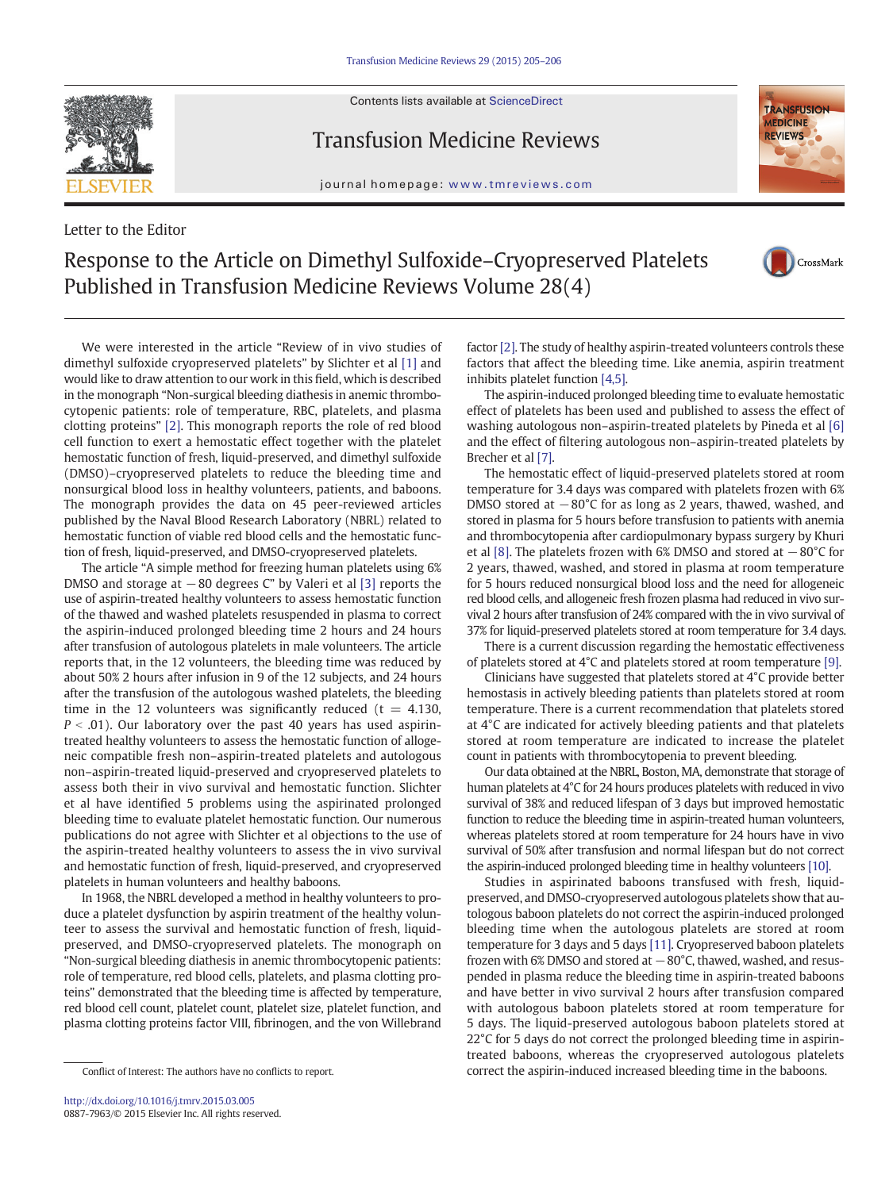Contents lists available at ScienceDirect



Letter to the Editor

Transfusion Medicine Reviews

journal homepage: www.tmreviews.com



## Response to the Article on Dimethyl Sulfoxide–Cryopreserved Platelets Published in Transfusion Medicine Reviews Volume 28(4)



We were interested in the article "Review of in vivo studies of dimethyl sulfoxide cryopreserved platelets" by Slichter et al [\[1\]](#page-1-0) and would like to draw attention to our work in this field, which is described in the monograph "Non-surgical bleeding diathesis in anemic thrombocytopenic patients: role of temperature, RBC, platelets, and plasma clotting proteins" [\[2\]](#page-1-0). This monograph reports the role of red blood cell function to exert a hemostatic effect together with the platelet hemostatic function of fresh, liquid-preserved, and dimethyl sulfoxide (DMSO)–cryopreserved platelets to reduce the bleeding time and nonsurgical blood loss in healthy volunteers, patients, and baboons. The monograph provides the data on 45 peer-reviewed articles published by the Naval Blood Research Laboratory (NBRL) related to hemostatic function of viable red blood cells and the hemostatic function of fresh, liquid-preserved, and DMSO-cryopreserved platelets.

The article "A simple method for freezing human platelets using 6% DMSO and storage at −80 degrees C" by Valeri et al [\[3\]](#page-1-0) reports the use of aspirin-treated healthy volunteers to assess hemostatic function of the thawed and washed platelets resuspended in plasma to correct the aspirin-induced prolonged bleeding time 2 hours and 24 hours after transfusion of autologous platelets in male volunteers. The article reports that, in the 12 volunteers, the bleeding time was reduced by about 50% 2 hours after infusion in 9 of the 12 subjects, and 24 hours after the transfusion of the autologous washed platelets, the bleeding time in the 12 volunteers was significantly reduced ( $t = 4.130$ ,  $P < .01$ ). Our laboratory over the past 40 years has used aspirintreated healthy volunteers to assess the hemostatic function of allogeneic compatible fresh non–aspirin-treated platelets and autologous non–aspirin-treated liquid-preserved and cryopreserved platelets to assess both their in vivo survival and hemostatic function. Slichter et al have identified 5 problems using the aspirinated prolonged bleeding time to evaluate platelet hemostatic function. Our numerous publications do not agree with Slichter et al objections to the use of the aspirin-treated healthy volunteers to assess the in vivo survival and hemostatic function of fresh, liquid-preserved, and cryopreserved platelets in human volunteers and healthy baboons.

In 1968, the NBRL developed a method in healthy volunteers to produce a platelet dysfunction by aspirin treatment of the healthy volunteer to assess the survival and hemostatic function of fresh, liquidpreserved, and DMSO-cryopreserved platelets. The monograph on "Non-surgical bleeding diathesis in anemic thrombocytopenic patients: role of temperature, red blood cells, platelets, and plasma clotting proteins" demonstrated that the bleeding time is affected by temperature, red blood cell count, platelet count, platelet size, platelet function, and plasma clotting proteins factor VIII, fibrinogen, and the von Willebrand

factor [\[2\]](#page-1-0). The study of healthy aspirin-treated volunteers controls these factors that affect the bleeding time. Like anemia, aspirin treatment inhibits platelet function [\[4,5\].](#page-1-0)

The aspirin-induced prolonged bleeding time to evaluate hemostatic effect of platelets has been used and published to assess the effect of washing autologous non–aspirin-treated platelets by Pineda et al [\[6\]](#page-1-0) and the effect of filtering autologous non–aspirin-treated platelets by Brecher et al [\[7\]](#page-1-0).

The hemostatic effect of liquid-preserved platelets stored at room temperature for 3.4 days was compared with platelets frozen with 6% DMSO stored at −80°C for as long as 2 years, thawed, washed, and stored in plasma for 5 hours before transfusion to patients with anemia and thrombocytopenia after cardiopulmonary bypass surgery by Khuri et al [\[8\].](#page-1-0) The platelets frozen with 6% DMSO and stored at −80°C for 2 years, thawed, washed, and stored in plasma at room temperature for 5 hours reduced nonsurgical blood loss and the need for allogeneic red blood cells, and allogeneic fresh frozen plasma had reduced in vivo survival 2 hours after transfusion of 24% compared with the in vivo survival of 37% for liquid-preserved platelets stored at room temperature for 3.4 days.

There is a current discussion regarding the hemostatic effectiveness of platelets stored at 4°C and platelets stored at room temperature [\[9\]](#page-1-0).

Clinicians have suggested that platelets stored at 4°C provide better hemostasis in actively bleeding patients than platelets stored at room temperature. There is a current recommendation that platelets stored at 4°C are indicated for actively bleeding patients and that platelets stored at room temperature are indicated to increase the platelet count in patients with thrombocytopenia to prevent bleeding.

Our data obtained at the NBRL, Boston, MA, demonstrate that storage of human platelets at 4°C for 24 hours produces platelets with reduced in vivo survival of 38% and reduced lifespan of 3 days but improved hemostatic function to reduce the bleeding time in aspirin-treated human volunteers, whereas platelets stored at room temperature for 24 hours have in vivo survival of 50% after transfusion and normal lifespan but do not correct the aspirin-induced prolonged bleeding time in healthy volunteers [\[10\]](#page-1-0).

Studies in aspirinated baboons transfused with fresh, liquidpreserved, and DMSO-cryopreserved autologous platelets show that autologous baboon platelets do not correct the aspirin-induced prolonged bleeding time when the autologous platelets are stored at room temperature for 3 days and 5 days [\[11\]](#page-1-0). Cryopreserved baboon platelets frozen with 6% DMSO and stored at  $-80^{\circ}$ C, thawed, washed, and resuspended in plasma reduce the bleeding time in aspirin-treated baboons and have better in vivo survival 2 hours after transfusion compared with autologous baboon platelets stored at room temperature for 5 days. The liquid-preserved autologous baboon platelets stored at 22°C for 5 days do not correct the prolonged bleeding time in aspirintreated baboons, whereas the cryopreserved autologous platelets correct the aspirin-induced increased bleeding time in the baboons.

Conflict of Interest: The authors have no conflicts to report.